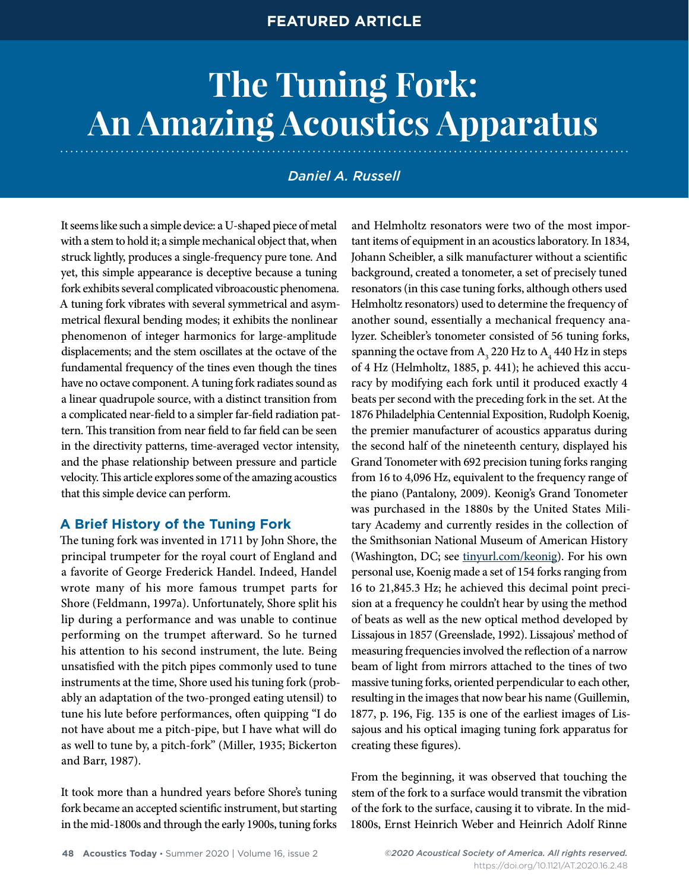# **FEATURED ARTICLE**

# **The Tuning Fork: An Amazing Acoustics Apparatus**

# *Daniel A. Russell*

It seems like such a simple device: a U-shaped piece of metal with a stem to hold it; a simple mechanical object that, when struck lightly, produces a single-frequency pure tone. And yet, this simple appearance is deceptive because a tuning fork exhibits several complicated vibroacoustic phenomena. A tuning fork vibrates with several symmetrical and asymmetrical flexural bending modes; it exhibits the nonlinear phenomenon of integer harmonics for large-amplitude displacements; and the stem oscillates at the octave of the fundamental frequency of the tines even though the tines have no octave component. A tuning fork radiates sound as a linear quadrupole source, with a distinct transition from a complicated near-field to a simpler far-field radiation pattern. This transition from near field to far field can be seen in the directivity patterns, time-averaged vector intensity, and the phase relationship between pressure and particle velocity. This article explores some of the amazing acoustics that this simple device can perform.

## **A Brief History of the Tuning Fork**

The tuning fork was invented in 1711 by John Shore, the principal trumpeter for the royal court of England and a favorite of George Frederick Handel. Indeed, Handel wrote many of his more famous trumpet parts for Shore (Feldmann, 1997a). Unfortunately, Shore split his lip during a performance and was unable to continue performing on the trumpet afterward. So he turned his attention to his second instrument, the lute. Being unsatisfied with the pitch pipes commonly used to tune instruments at the time, Shore used his tuning fork (probably an adaptation of the two-pronged eating utensil) to tune his lute before performances, often quipping "I do not have about me a pitch-pipe, but I have what will do as well to tune by, a pitch-fork" (Miller, 1935; Bickerton and Barr, 1987).

It took more than a hundred years before Shore's tuning fork became an accepted scientific instrument, but starting in the mid-1800s and through the early 1900s, tuning forks

and Helmholtz resonators were two of the most important items of equipment in an acoustics laboratory. In 1834, Johann Scheibler, a silk manufacturer without a scientific background, created a tonometer, a set of precisely tuned resonators (in this case tuning forks, although others used Helmholtz resonators) used to determine the frequency of another sound, essentially a mechanical frequency analyzer. Scheibler's tonometer consisted of 56 tuning forks, spanning the octave from  $A_3$  220 Hz to  $A_4$  440 Hz in steps of 4 Hz (Helmholtz, 1885, p. 441); he achieved this accuracy by modifying each fork until it produced exactly 4 beats per second with the preceding fork in the set. At the 1876 Philadelphia Centennial Exposition, Rudolph Koenig, the premier manufacturer of acoustics apparatus during the second half of the nineteenth century, displayed his Grand Tonometer with 692 precision tuning forks ranging from 16 to 4,096 Hz, equivalent to the frequency range of the piano (Pantalony, 2009). Keonig's Grand Tonometer was purchased in the 1880s by the United States Military Academy and currently resides in the collection of the Smithsonian National Museum of American History (Washington, DC; see [tinyurl.com/keonig](http://tinyurl.com/keonig)). For his own personal use, Koenig made a set of 154 forks ranging from 16 to 21,845.3 Hz; he achieved this decimal point precision at a frequency he couldn't hear by using the method of beats as well as the new optical method developed by Lissajous in 1857 (Greenslade, 1992). Lissajous' method of measuring frequencies involved the reflection of a narrow beam of light from mirrors attached to the tines of two massive tuning forks, oriented perpendicular to each other, resulting in the images that now bear his name (Guillemin, 1877, p. 196, Fig. 135 is one of the earliest images of Lissajous and his optical imaging tuning fork apparatus for creating these figures).

From the beginning, it was observed that touching the stem of the fork to a surface would transmit the vibration of the fork to the surface, causing it to vibrate. In the mid-1800s, Ernst Heinrich Weber and Heinrich Adolf Rinne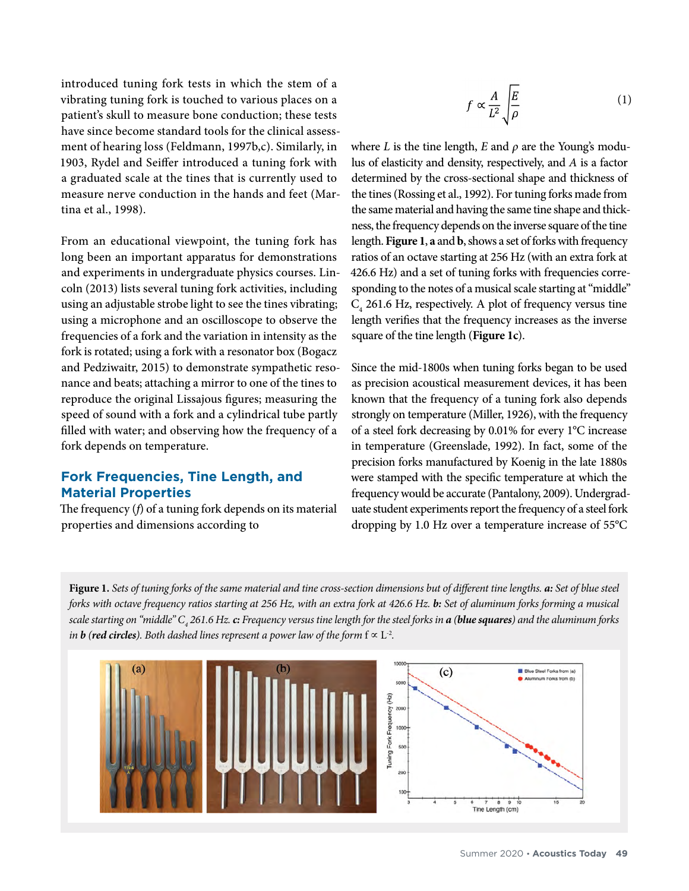introduced tuning fork tests in which the stem of a vibrating tuning fork is touched to various places on a patient's skull to measure bone conduction; these tests have since become standard tools for the clinical assessment of hearing loss (Feldmann, 1997b,c). Similarly, in 1903, Rydel and Seiffer introduced a tuning fork with a graduated scale at the tines that is currently used to measure nerve conduction in the hands and feet (Martina et al., 1998).

From an educational viewpoint, the tuning fork has long been an important apparatus for demonstrations and experiments in undergraduate physics courses. Lincoln (2013) lists several tuning fork activities, including using an adjustable strobe light to see the tines vibrating; using a microphone and an oscilloscope to observe the frequencies of a fork and the variation in intensity as the fork is rotated; using a fork with a resonator box (Bogacz and Pedziwaitr, 2015) to demonstrate sympathetic resonance and beats; attaching a mirror to one of the tines to reproduce the original Lissajous figures; measuring the speed of sound with a fork and a cylindrical tube partly filled with water; and observing how the frequency of a fork depends on temperature.

## **Fork Frequencies, Tine Length, and Material Properties**

The frequency (*f*) of a tuning fork depends on its material properties and dimensions according to

$$
f \propto \frac{A}{L^2} \sqrt{\frac{E}{\rho}} \tag{1}
$$

where *L* is the tine length, *E* and  $\rho$  are the Young's modulus of elasticity and density, respectively, and *A* is a factor determined by the cross-sectional shape and thickness of the tines (Rossing et al., 1992). For tuning forks made from the same material and having the same tine shape and thickness, the frequency depends on the inverse square of the tine length. **Figure 1**, **a** and **b**, shows a set of forks with frequency ratios of an octave starting at 256 Hz (with an extra fork at 426.6 Hz) and a set of tuning forks with frequencies corresponding to the notes of a musical scale starting at "middle"  $C_4$  261.6 Hz, respectively. A plot of frequency versus tine length verifies that the frequency increases as the inverse square of the tine length (**Figure 1c**).

Since the mid-1800s when tuning forks began to be used as precision acoustical measurement devices, it has been known that the frequency of a tuning fork also depends strongly on temperature (Miller, 1926), with the frequency of a steel fork decreasing by 0.01% for every 1°C increase in temperature (Greenslade, 1992). In fact, some of the precision forks manufactured by Koenig in the late 1880s were stamped with the specific temperature at which the frequency would be accurate (Pantalony, 2009). Undergraduate student experiments report the frequency of a steel fork dropping by 1.0 Hz over a temperature increase of 55°C

**Figure 1.** *Sets of tuning forks of the same material and tine cross-section dimensions but of different tine lengths. a: Set of blue steel forks with octave frequency ratios starting at 256 Hz, with an extra fork at 426.6 Hz. b: Set of aluminum forks forming a musical scale starting on "middle" C4 261.6 Hz. c: Frequency versus tine length for the steel forks in a (blue squares) and the aluminum forks in b (red circles). Both dashed lines represent a power law of the form*  $f \propto L^{-2}$ *.* 

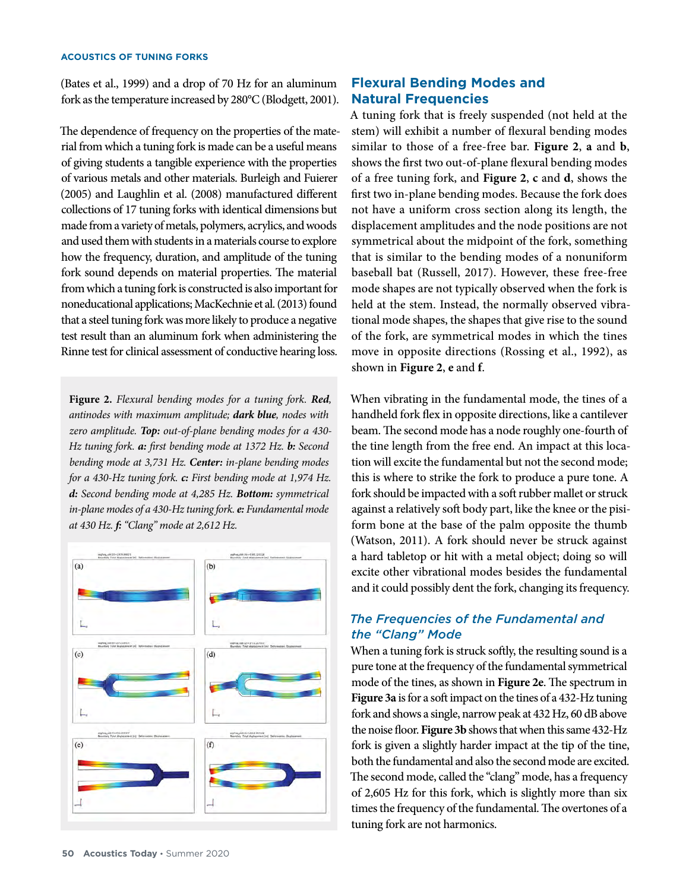#### **ACOUSTICS OF TUNING FORKS**

(Bates et al., 1999) and a drop of 70 Hz for an aluminum fork as the temperature increased by 280°C (Blodgett, 2001).

The dependence of frequency on the properties of the material from which a tuning fork is made can be a useful means of giving students a tangible experience with the properties of various metals and other materials. Burleigh and Fuierer (2005) and Laughlin et al. (2008) manufactured different collections of 17 tuning forks with identical dimensions but made from a variety of metals, polymers, acrylics, and woods and used them with students in a materials course to explore how the frequency, duration, and amplitude of the tuning fork sound depends on material properties. The material from which a tuning fork is constructed is also important for noneducational applications; MacKechnie et al. (2013) found that a steel tuning fork was more likely to produce a negative test result than an aluminum fork when administering the Rinne test for clinical assessment of conductive hearing loss.

**Figure 2.** *Flexural bending modes for a tuning fork. Red, antinodes with maximum amplitude; dark blue, nodes with zero amplitude. Top: out-of-plane bending modes for a 430- Hz tuning fork. a: first bending mode at 1372 Hz. b: Second bending mode at 3,731 Hz. Center: in-plane bending modes for a 430-Hz tuning fork. c: First bending mode at 1,974 Hz. d: Second bending mode at 4,285 Hz. Bottom: symmetrical in-plane modes of a 430-Hz tuning fork. e: Fundamental mode at 430 Hz. f: "Clang" mode at 2,612 Hz.* 



# **Flexural Bending Modes and Natural Frequencies**

A tuning fork that is freely suspended (not held at the stem) will exhibit a number of flexural bending modes similar to those of a free-free bar. **Figure 2**, **a** and **b**, shows the first two out-of-plane flexural bending modes of a free tuning fork, and **Figure 2**, **c** and **d**, shows the first two in-plane bending modes. Because the fork does not have a uniform cross section along its length, the displacement amplitudes and the node positions are not symmetrical about the midpoint of the fork, something that is similar to the bending modes of a nonuniform baseball bat (Russell, 2017). However, these free-free mode shapes are not typically observed when the fork is held at the stem. Instead, the normally observed vibrational mode shapes, the shapes that give rise to the sound of the fork, are symmetrical modes in which the tines move in opposite directions (Rossing et al., 1992), as shown in **Figure 2**, **e** and **f**.

When vibrating in the fundamental mode, the tines of a handheld fork flex in opposite directions, like a cantilever beam. The second mode has a node roughly one-fourth of the tine length from the free end. An impact at this location will excite the fundamental but not the second mode; this is where to strike the fork to produce a pure tone. A fork should be impacted with a soft rubber mallet or struck against a relatively soft body part, like the knee or the pisiform bone at the base of the palm opposite the thumb (Watson, 2011). A fork should never be struck against a hard tabletop or hit with a metal object; doing so will excite other vibrational modes besides the fundamental and it could possibly dent the fork, changing its frequency.

# *The Frequencies of the Fundamental and the "Clang" Mode*

When a tuning fork is struck softly, the resulting sound is a pure tone at the frequency of the fundamental symmetrical mode of the tines, as shown in **Figure 2e**. The spectrum in **Figure 3a** is for a soft impact on the tines of a 432-Hz tuning fork and shows a single, narrow peak at 432 Hz, 60 dB above the noise floor. **Figure 3b** shows that when this same 432-Hz fork is given a slightly harder impact at the tip of the tine, both the fundamental and also the second mode are excited. The second mode, called the "clang" mode, has a frequency of 2,605 Hz for this fork, which is slightly more than six times the frequency of the fundamental. The overtones of a tuning fork are not harmonics.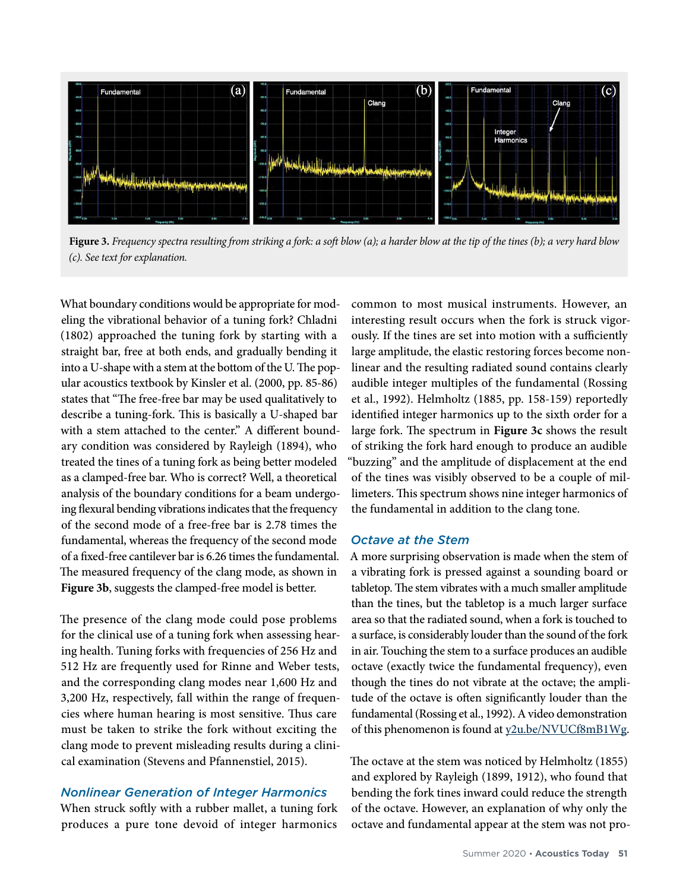

**Figure 3.** *Frequency spectra resulting from striking a fork: a soft blow (a); a harder blow at the tip of the tines (b); a very hard blow (c). See text for explanation.*

What boundary conditions would be appropriate for modeling the vibrational behavior of a tuning fork? Chladni (1802) approached the tuning fork by starting with a straight bar, free at both ends, and gradually bending it into a U-shape with a stem at the bottom of the U. The popular acoustics textbook by Kinsler et al. (2000, pp. 85-86) states that "The free-free bar may be used qualitatively to describe a tuning-fork. This is basically a U-shaped bar with a stem attached to the center." A different boundary condition was considered by Rayleigh (1894), who treated the tines of a tuning fork as being better modeled as a clamped-free bar. Who is correct? Well, a theoretical analysis of the boundary conditions for a beam undergoing flexural bending vibrations indicates that the frequency of the second mode of a free-free bar is 2.78 times the fundamental, whereas the frequency of the second mode of a fixed-free cantilever bar is 6.26 times the fundamental. The measured frequency of the clang mode, as shown in **Figure 3b**, suggests the clamped-free model is better.

The presence of the clang mode could pose problems for the clinical use of a tuning fork when assessing hearing health. Tuning forks with frequencies of 256 Hz and 512 Hz are frequently used for Rinne and Weber tests, and the corresponding clang modes near 1,600 Hz and 3,200 Hz, respectively, fall within the range of frequencies where human hearing is most sensitive. Thus care must be taken to strike the fork without exciting the clang mode to prevent misleading results during a clinical examination (Stevens and Pfannenstiel, 2015).

## *Nonlinear Generation of Integer Harmonics*

When struck softly with a rubber mallet, a tuning fork produces a pure tone devoid of integer harmonics

common to most musical instruments. However, an interesting result occurs when the fork is struck vigorously. If the tines are set into motion with a sufficiently large amplitude, the elastic restoring forces become nonlinear and the resulting radiated sound contains clearly audible integer multiples of the fundamental (Rossing et al., 1992). Helmholtz (1885, pp. 158-159) reportedly identified integer harmonics up to the sixth order for a large fork. The spectrum in **Figure 3c** shows the result of striking the fork hard enough to produce an audible "buzzing" and the amplitude of displacement at the end of the tines was visibly observed to be a couple of millimeters. This spectrum shows nine integer harmonics of the fundamental in addition to the clang tone.

## *Octave at the Stem*

A more surprising observation is made when the stem of a vibrating fork is pressed against a sounding board or tabletop. The stem vibrates with a much smaller amplitude than the tines, but the tabletop is a much larger surface area so that the radiated sound, when a fork is touched to a surface, is considerably louder than the sound of the fork in air. Touching the stem to a surface produces an audible octave (exactly twice the fundamental frequency), even though the tines do not vibrate at the octave; the amplitude of the octave is often significantly louder than the fundamental (Rossing et al., 1992). A video demonstration of this phenomenon is found at [y2u.be/NVUCf8mB1Wg](http://y2u.be/NVUCf8mB1Wg).

The octave at the stem was noticed by Helmholtz (1855) and explored by Rayleigh (1899, 1912), who found that bending the fork tines inward could reduce the strength of the octave. However, an explanation of why only the octave and fundamental appear at the stem was not pro-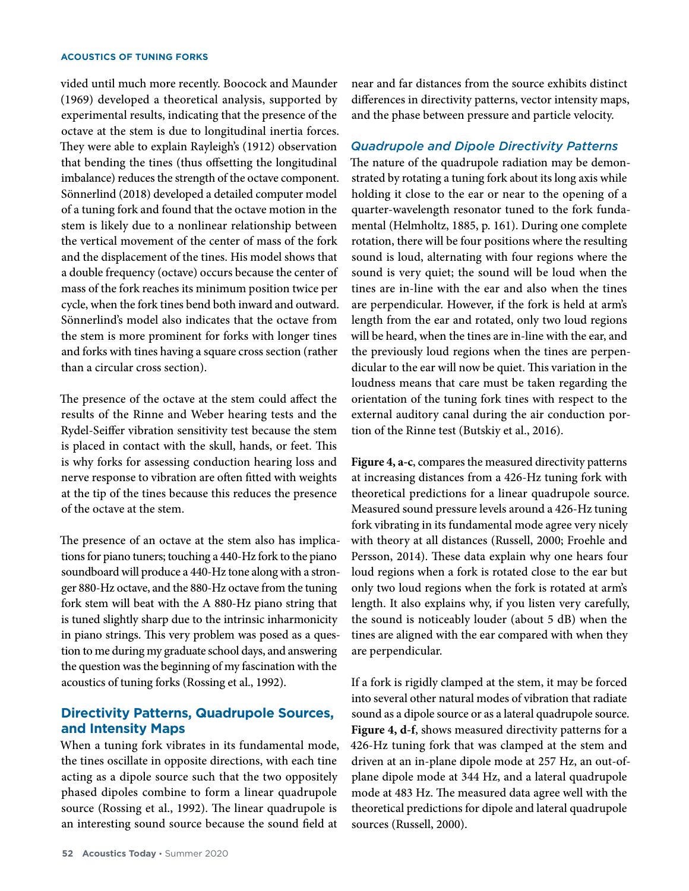#### **ACOUSTICS OF TUNING FORKS**

vided until much more recently. Boocock and Maunder (1969) developed a theoretical analysis, supported by experimental results, indicating that the presence of the octave at the stem is due to longitudinal inertia forces. They were able to explain Rayleigh's (1912) observation that bending the tines (thus offsetting the longitudinal imbalance) reduces the strength of the octave component. Sönnerlind (2018) developed a detailed computer model of a tuning fork and found that the octave motion in the stem is likely due to a nonlinear relationship between the vertical movement of the center of mass of the fork and the displacement of the tines. His model shows that a double frequency (octave) occurs because the center of mass of the fork reaches its minimum position twice per cycle, when the fork tines bend both inward and outward. Sönnerlind's model also indicates that the octave from the stem is more prominent for forks with longer tines and forks with tines having a square cross section (rather than a circular cross section).

The presence of the octave at the stem could affect the results of the Rinne and Weber hearing tests and the Rydel-Seiffer vibration sensitivity test because the stem is placed in contact with the skull, hands, or feet. This is why forks for assessing conduction hearing loss and nerve response to vibration are often fitted with weights at the tip of the tines because this reduces the presence of the octave at the stem.

The presence of an octave at the stem also has implications for piano tuners; touching a 440-Hz fork to the piano soundboard will produce a 440-Hz tone along with a stronger 880-Hz octave, and the 880-Hz octave from the tuning fork stem will beat with the A 880-Hz piano string that is tuned slightly sharp due to the intrinsic inharmonicity in piano strings. This very problem was posed as a question to me during my graduate school days, and answering the question was the beginning of my fascination with the acoustics of tuning forks (Rossing et al., 1992).

## **Directivity Patterns, Quadrupole Sources, and Intensity Maps**

When a tuning fork vibrates in its fundamental mode, the tines oscillate in opposite directions, with each tine acting as a dipole source such that the two oppositely phased dipoles combine to form a linear quadrupole source (Rossing et al., 1992). The linear quadrupole is an interesting sound source because the sound field at

near and far distances from the source exhibits distinct differences in directivity patterns, vector intensity maps, and the phase between pressure and particle velocity.

## *Quadrupole and Dipole Directivity Patterns*

The nature of the quadrupole radiation may be demonstrated by rotating a tuning fork about its long axis while holding it close to the ear or near to the opening of a quarter-wavelength resonator tuned to the fork fundamental (Helmholtz, 1885, p. 161). During one complete rotation, there will be four positions where the resulting sound is loud, alternating with four regions where the sound is very quiet; the sound will be loud when the tines are in-line with the ear and also when the tines are perpendicular. However, if the fork is held at arm's length from the ear and rotated, only two loud regions will be heard, when the tines are in-line with the ear, and the previously loud regions when the tines are perpendicular to the ear will now be quiet. This variation in the loudness means that care must be taken regarding the orientation of the tuning fork tines with respect to the external auditory canal during the air conduction portion of the Rinne test (Butskiy et al., 2016).

**Figure 4, a-c**, compares the measured directivity patterns at increasing distances from a 426-Hz tuning fork with theoretical predictions for a linear quadrupole source. Measured sound pressure levels around a 426-Hz tuning fork vibrating in its fundamental mode agree very nicely with theory at all distances (Russell, 2000; Froehle and Persson, 2014). These data explain why one hears four loud regions when a fork is rotated close to the ear but only two loud regions when the fork is rotated at arm's length. It also explains why, if you listen very carefully, the sound is noticeably louder (about 5 dB) when the tines are aligned with the ear compared with when they are perpendicular.

If a fork is rigidly clamped at the stem, it may be forced into several other natural modes of vibration that radiate sound as a dipole source or as a lateral quadrupole source. **Figure 4, d-f**, shows measured directivity patterns for a 426-Hz tuning fork that was clamped at the stem and driven at an in-plane dipole mode at 257 Hz, an out-ofplane dipole mode at 344 Hz, and a lateral quadrupole mode at 483 Hz. The measured data agree well with the theoretical predictions for dipole and lateral quadrupole sources (Russell, 2000).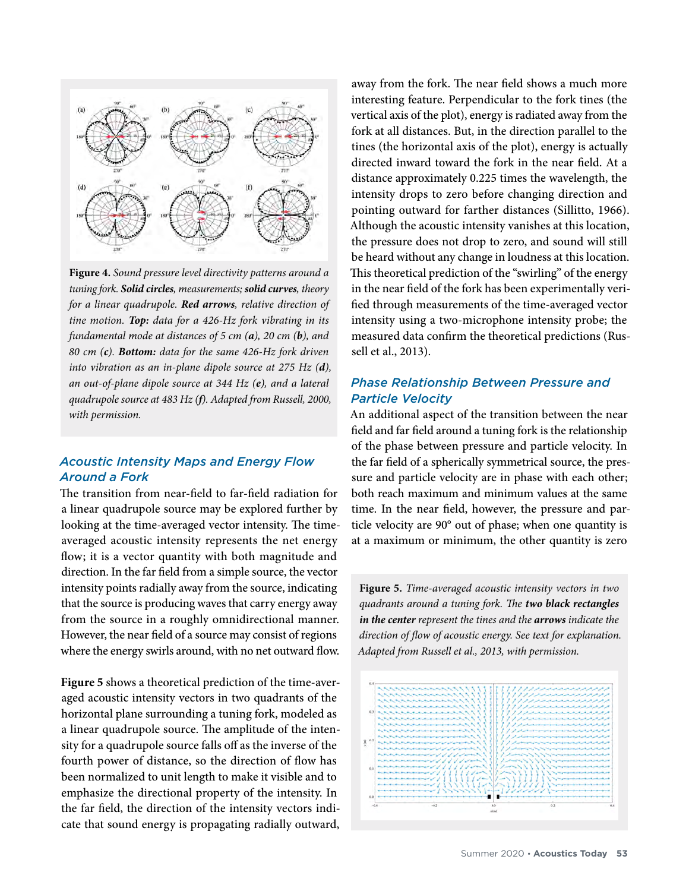

**Figure 4.** *Sound pressure level directivity patterns around a tuning fork. Solid circles, measurements; solid curves, theory for a linear quadrupole. Red arrows, relative direction of tine motion. Top: data for a 426-Hz fork vibrating in its fundamental mode at distances of 5 cm (a), 20 cm (b), and 80 cm (c). Bottom: data for the same 426-Hz fork driven into vibration as an in-plane dipole source at 275 Hz (d), an out-of-plane dipole source at 344 Hz (e), and a lateral quadrupole source at 483 Hz (f). Adapted from Russell, 2000, with permission.*

## *Acoustic Intensity Maps and Energy Flow Around a Fork*

The transition from near-field to far-field radiation for a linear quadrupole source may be explored further by looking at the time-averaged vector intensity. The timeaveraged acoustic intensity represents the net energy flow; it is a vector quantity with both magnitude and direction. In the far field from a simple source, the vector intensity points radially away from the source, indicating that the source is producing waves that carry energy away from the source in a roughly omnidirectional manner. However, the near field of a source may consist of regions where the energy swirls around, with no net outward flow.

**Figure 5** shows a theoretical prediction of the time-averaged acoustic intensity vectors in two quadrants of the horizontal plane surrounding a tuning fork, modeled as a linear quadrupole source. The amplitude of the intensity for a quadrupole source falls off as the inverse of the fourth power of distance, so the direction of flow has been normalized to unit length to make it visible and to emphasize the directional property of the intensity. In the far field, the direction of the intensity vectors indicate that sound energy is propagating radially outward,

away from the fork. The near field shows a much more interesting feature. Perpendicular to the fork tines (the vertical axis of the plot), energy is radiated away from the fork at all distances. But, in the direction parallel to the tines (the horizontal axis of the plot), energy is actually directed inward toward the fork in the near field. At a distance approximately 0.225 times the wavelength, the intensity drops to zero before changing direction and pointing outward for farther distances (Sillitto, 1966). Although the acoustic intensity vanishes at this location, the pressure does not drop to zero, and sound will still be heard without any change in loudness at this location. This theoretical prediction of the "swirling" of the energy in the near field of the fork has been experimentally verified through measurements of the time-averaged vector intensity using a two-microphone intensity probe; the measured data confirm the theoretical predictions (Russell et al., 2013).

## *Phase Relationship Between Pressure and Particle Velocity*

An additional aspect of the transition between the near field and far field around a tuning fork is the relationship of the phase between pressure and particle velocity. In the far field of a spherically symmetrical source, the pressure and particle velocity are in phase with each other; both reach maximum and minimum values at the same time. In the near field, however, the pressure and particle velocity are 90° out of phase; when one quantity is at a maximum or minimum, the other quantity is zero

**Figure 5.** *Time-averaged acoustic intensity vectors in two quadrants around a tuning fork. The two black rectangles in the center represent the tines and the arrows indicate the direction of flow of acoustic energy. See text for explanation. Adapted from Russell et al., 2013, with permission.*

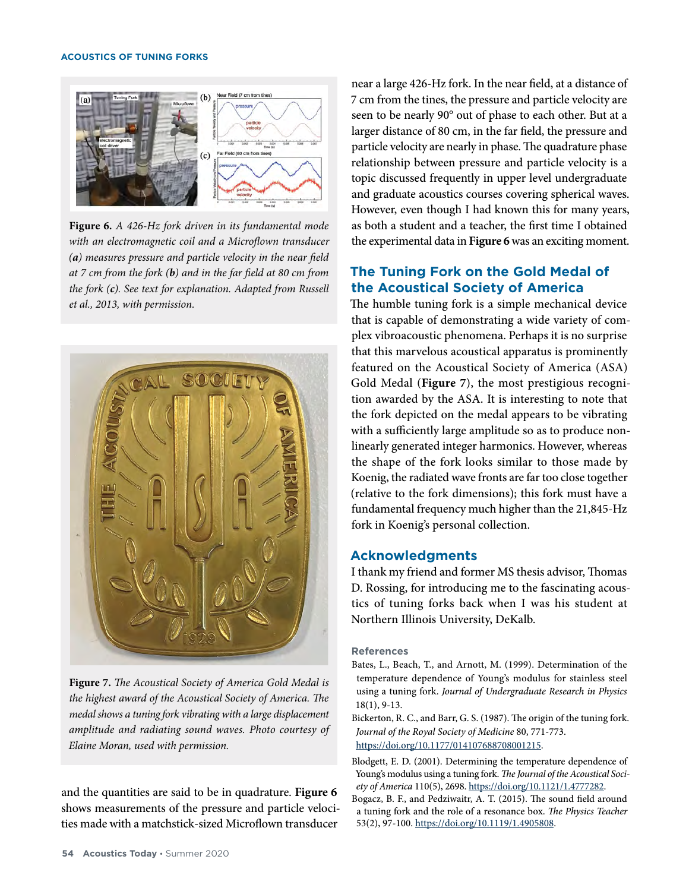

**Figure 6.** *A 426-Hz fork driven in its fundamental mode with an electromagnetic coil and a Microflown transducer (a) measures pressure and particle velocity in the near field at 7 cm from the fork (b) and in the far field at 80 cm from the fork (c). See text for explanation. Adapted from Russell et al., 2013, with permission.*



**Figure 7.** *The Acoustical Society of America Gold Medal is the highest award of the Acoustical Society of America. The medal shows a tuning fork vibrating with a large displacement amplitude and radiating sound waves. Photo courtesy of Elaine Moran, used with permission.*

and the quantities are said to be in quadrature. **Figure 6**  shows measurements of the pressure and particle velocities made with a matchstick-sized Microflown transducer near a large 426-Hz fork. In the near field, at a distance of 7 cm from the tines, the pressure and particle velocity are seen to be nearly 90° out of phase to each other. But at a larger distance of 80 cm, in the far field, the pressure and particle velocity are nearly in phase. The quadrature phase relationship between pressure and particle velocity is a topic discussed frequently in upper level undergraduate and graduate acoustics courses covering spherical waves. However, even though I had known this for many years, as both a student and a teacher, the first time I obtained the experimental data in **Figure 6** was an exciting moment.

# **The Tuning Fork on the Gold Medal of the Acoustical Society of America**

The humble tuning fork is a simple mechanical device that is capable of demonstrating a wide variety of complex vibroacoustic phenomena. Perhaps it is no surprise that this marvelous acoustical apparatus is prominently featured on the Acoustical Society of America (ASA) Gold Medal (**Figure 7**), the most prestigious recognition awarded by the ASA. It is interesting to note that the fork depicted on the medal appears to be vibrating with a sufficiently large amplitude so as to produce nonlinearly generated integer harmonics. However, whereas the shape of the fork looks similar to those made by Koenig, the radiated wave fronts are far too close together (relative to the fork dimensions); this fork must have a fundamental frequency much higher than the 21,845-Hz fork in Koenig's personal collection.

# **Acknowledgments**

I thank my friend and former MS thesis advisor, Thomas D. Rossing, for introducing me to the fascinating acoustics of tuning forks back when I was his student at Northern Illinois University, DeKalb.

## **References**

- Bates, L., Beach, T., and Arnott, M. (1999). Determination of the temperature dependence of Young's modulus for stainless steel using a tuning fork. *Journal of Undergraduate Research in Physics*  18(1), 9-13.
- Bickerton, R. C., and Barr, G. S. (1987). The origin of the tuning fork. *Journal of the Royal Society of Medicine* 80, 771-773. [https://doi.org/10.1177/014107688708001215.](https://doi.org/10.1177/014107688708001215)
- Blodgett, E. D. (2001). Determining the temperature dependence of Young's modulus using a tuning fork. *The Journal of the Acoustical Society of America* 110(5), 2698. [https://doi.org/10.1121/1.4777282.](https://doi.org/10.1121/1.4777282)
- Bogacz, B. F., and Pedziwaitr, A. T. (2015). The sound field around a tuning fork and the role of a resonance box. *The Physics Teacher*  53(2), 97-100.<https://doi.org/10.1119/1.4905808>.